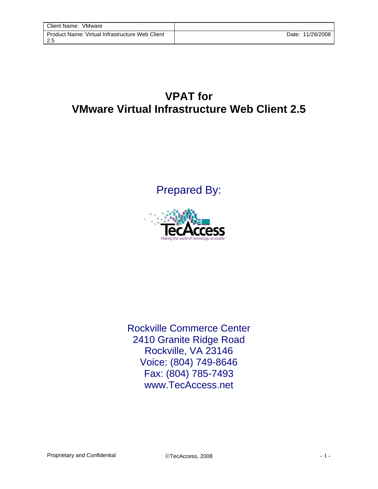## **VPAT for VMware Virtual Infrastructure Web Client 2.5**

Prepared By:



Rockville Commerce Center 2410 Granite Ridge Road Rockville, VA 23146 Voice: (804) 749-8646 Fax: (804) 785-7493 www.TecAccess.net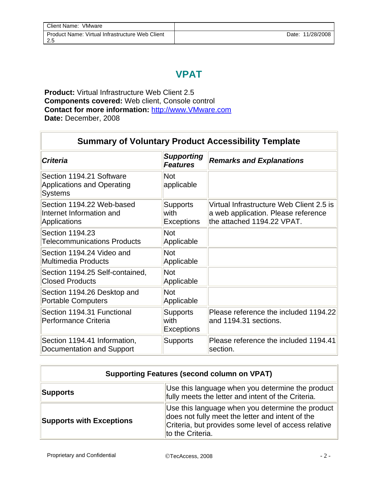## **VPAT**

**Product:** Virtual Infrastructure Web Client 2.5 **Components covered:** Web client, Console control **Contact for more information:** [http://www.VMware.com](http://www.vmware.com/) **Date:** December, 2008

| <b>Summary of Voluntary Product Accessibility Template</b>                      |                                              |                                                                                                               |
|---------------------------------------------------------------------------------|----------------------------------------------|---------------------------------------------------------------------------------------------------------------|
| <b>Criteria</b>                                                                 | <b>Supporting</b><br><b>Features</b>         | <b>Remarks and Explanations</b>                                                                               |
| Section 1194.21 Software<br><b>Applications and Operating</b><br><b>Systems</b> | <b>Not</b><br>applicable                     |                                                                                                               |
| Section 1194.22 Web-based<br>Internet Information and<br>Applications           | <b>Supports</b><br>with<br><b>Exceptions</b> | Virtual Infrastructure Web Client 2.5 is<br>a web application. Please reference<br>the attached 1194.22 VPAT. |
| Section 1194.23<br><b>Telecommunications Products</b>                           | <b>Not</b><br>Applicable                     |                                                                                                               |
| Section 1194.24 Video and<br><b>Multimedia Products</b>                         | <b>Not</b><br>Applicable                     |                                                                                                               |
| Section 1194.25 Self-contained,<br><b>Closed Products</b>                       | <b>Not</b><br>Applicable                     |                                                                                                               |
| Section 1194.26 Desktop and<br><b>Portable Computers</b>                        | <b>Not</b><br>Applicable                     |                                                                                                               |
| Section 1194.31 Functional<br>Performance Criteria                              | <b>Supports</b><br>with<br><b>Exceptions</b> | Please reference the included 1194.22<br>and 1194.31 sections.                                                |
| Section 1194.41 Information,<br>Documentation and Support                       | <b>Supports</b>                              | Please reference the included 1194.41<br>section.                                                             |

| <b>Supporting Features (second column on VPAT)</b> |                                                                                                                                                                                  |  |
|----------------------------------------------------|----------------------------------------------------------------------------------------------------------------------------------------------------------------------------------|--|
| <b>Supports</b>                                    | Use this language when you determine the product<br>fully meets the letter and intent of the Criteria.                                                                           |  |
| <b>Supports with Exceptions</b>                    | Use this language when you determine the product<br>does not fully meet the letter and intent of the<br>Criteria, but provides some level of access relative<br>to the Criteria. |  |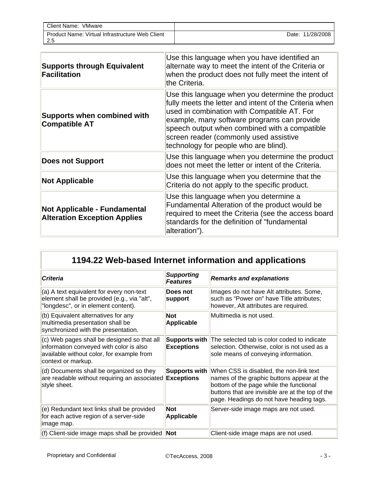| Client Name:<br>VMware                                       |                     |
|--------------------------------------------------------------|---------------------|
| Product Name: Virtual Infrastructure Web Client<br>つち<br>ن.∠ | 11/28/2008<br>Date: |

| <b>Supports through Equivalent</b><br>Facilitation                  | Use this language when you have identified an<br>alternate way to meet the intent of the Criteria or<br>when the product does not fully meet the intent of<br>the Criteria.                                                                                                                                                                  |
|---------------------------------------------------------------------|----------------------------------------------------------------------------------------------------------------------------------------------------------------------------------------------------------------------------------------------------------------------------------------------------------------------------------------------|
| <b>Supports when combined with</b><br><b>Compatible AT</b>          | Use this language when you determine the product<br>fully meets the letter and intent of the Criteria when<br>used in combination with Compatible AT. For<br>example, many software programs can provide<br>speech output when combined with a compatible<br>screen reader (commonly used assistive<br>technology for people who are blind). |
| <b>Does not Support</b>                                             | Use this language when you determine the product<br>does not meet the letter or intent of the Criteria.                                                                                                                                                                                                                                      |
| <b>Not Applicable</b>                                               | Use this language when you determine that the<br>Criteria do not apply to the specific product.                                                                                                                                                                                                                                              |
| Not Applicable - Fundamental<br><b>Alteration Exception Applies</b> | Use this language when you determine a<br>Fundamental Alteration of the product would be<br>required to meet the Criteria (see the access board<br>standards for the definition of "fundamental<br>alteration").                                                                                                                             |

| 1194.22 Web-based Internet information and applications                                                                                                   |                                           |                                                                                                                                                                                                                                  |
|-----------------------------------------------------------------------------------------------------------------------------------------------------------|-------------------------------------------|----------------------------------------------------------------------------------------------------------------------------------------------------------------------------------------------------------------------------------|
| <b>Criteria</b>                                                                                                                                           | <b>Supporting</b><br><b>Features</b>      | <b>Remarks and explanations</b>                                                                                                                                                                                                  |
| (a) A text equivalent for every non-text<br>element shall be provided (e.g., via "alt",<br>"longdesc", or in element content).                            | Does not<br>support                       | Images do not have Alt attributes. Some,<br>such as "Power on" have Title attributes;<br>however, Alt attributes are required.                                                                                                   |
| (b) Equivalent alternatives for any<br>multimedia presentation shall be<br>synchronized with the presentation.                                            | <b>Not</b><br><b>Applicable</b>           | Multimedia is not used.                                                                                                                                                                                                          |
| (c) Web pages shall be designed so that all<br>information conveyed with color is also<br>available without color, for example from<br>context or markup. | <b>Supports with</b><br><b>Exceptions</b> | The selected tab is color coded to indicate<br>selection. Otherwise, color is not used as a<br>sole means of conveying information.                                                                                              |
| (d) Documents shall be organized so they<br>are readable without requiring an associated<br>style sheet.                                                  | <b>Supports with</b><br><b>Exceptions</b> | When CSS is disabled, the non-link text<br>names of the graphic buttons appear at the<br>bottom of the page while the functional<br>buttons that are invisible are at the top of the<br>page. Headings do not have heading tags. |
| (e) Redundant text links shall be provided<br>for each active region of a server-side<br>image map.                                                       | <b>Not</b><br><b>Applicable</b>           | Server-side image maps are not used.                                                                                                                                                                                             |
| (f) Client-side image maps shall be provided $\textsf{Not}$                                                                                               |                                           | Client-side image maps are not used.                                                                                                                                                                                             |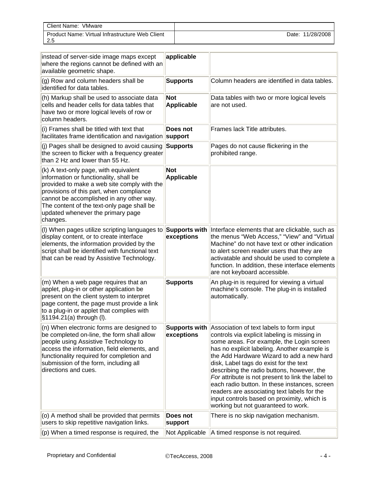| Client Name:<br>VMware                          |            |
|-------------------------------------------------|------------|
| Product Name: Virtual Infrastructure Web Client | 11/28/2008 |
| ن.∠                                             | Date:      |

| instead of server-side image maps except<br>where the regions cannot be defined with an<br>available geometric shape.                                                                                                                                                                                                 | applicable                      |                                                                                                                                                                                                                                                                                                                                                                                                                                                                                                                                                                                     |
|-----------------------------------------------------------------------------------------------------------------------------------------------------------------------------------------------------------------------------------------------------------------------------------------------------------------------|---------------------------------|-------------------------------------------------------------------------------------------------------------------------------------------------------------------------------------------------------------------------------------------------------------------------------------------------------------------------------------------------------------------------------------------------------------------------------------------------------------------------------------------------------------------------------------------------------------------------------------|
| (g) Row and column headers shall be<br>identified for data tables.                                                                                                                                                                                                                                                    | <b>Supports</b>                 | Column headers are identified in data tables.                                                                                                                                                                                                                                                                                                                                                                                                                                                                                                                                       |
| (h) Markup shall be used to associate data<br>cells and header cells for data tables that<br>have two or more logical levels of row or<br>column headers.                                                                                                                                                             | <b>Not</b><br><b>Applicable</b> | Data tables with two or more logical levels<br>are not used.                                                                                                                                                                                                                                                                                                                                                                                                                                                                                                                        |
| (i) Frames shall be titled with text that<br>facilitates frame identification and navigation support                                                                                                                                                                                                                  | Does not                        | Frames lack Title attributes.                                                                                                                                                                                                                                                                                                                                                                                                                                                                                                                                                       |
| (j) Pages shall be designed to avoid causing<br>the screen to flicker with a frequency greater<br>than 2 Hz and lower than 55 Hz.                                                                                                                                                                                     | <b>Supports</b>                 | Pages do not cause flickering in the<br>prohibited range.                                                                                                                                                                                                                                                                                                                                                                                                                                                                                                                           |
| (k) A text-only page, with equivalent<br>information or functionality, shall be<br>provided to make a web site comply with the<br>provisions of this part, when compliance<br>cannot be accomplished in any other way.<br>The content of the text-only page shall be<br>updated whenever the primary page<br>changes. | <b>Not</b><br><b>Applicable</b> |                                                                                                                                                                                                                                                                                                                                                                                                                                                                                                                                                                                     |
| (I) When pages utilize scripting languages to<br>display content, or to create interface<br>elements, the information provided by the<br>script shall be identified with functional text<br>that can be read by Assistive Technology.                                                                                 | Supports with<br>exceptions     | Interface elements that are clickable, such as<br>the menus "Web Access," "View" and "Virtual<br>Machine" do not have text or other indication<br>to alert screen reader users that they are<br>activatable and should be used to complete a<br>function. In addition, these interface elements<br>are not keyboard accessible.                                                                                                                                                                                                                                                     |
| (m) When a web page requires that an<br>applet, plug-in or other application be<br>present on the client system to interpret<br>page content, the page must provide a link<br>to a plug-in or applet that complies with<br>§1194.21(a) through (I).                                                                   | <b>Supports</b>                 | An plug-in is required for viewing a virtual<br>machine's console. The plug-in is installed<br>automatically.                                                                                                                                                                                                                                                                                                                                                                                                                                                                       |
| (n) When electronic forms are designed to<br>be completed on-line, the form shall allow<br>people using Assistive Technology to<br>access the information, field elements, and<br>functionality required for completion and<br>submission of the form, including all<br>directions and cues.                          | exceptions                      | Supports with Association of text labels to form input<br>controls via explicit labeling is missing in<br>some areas. For example, the Login screen<br>has no explicit labeling. Another example is<br>the Add Hardware Wizard to add a new hard<br>disk, Label tags do exist for the text<br>describing the radio buttons, however, the<br>For attribute is not present to link the label to<br>each radio button. In these instances, screen<br>readers are associating text labels for the<br>input controls based on proximity, which is<br>working but not guaranteed to work. |
| (o) A method shall be provided that permits<br>users to skip repetitive navigation links.                                                                                                                                                                                                                             | Does not<br>support             | There is no skip navigation mechanism.                                                                                                                                                                                                                                                                                                                                                                                                                                                                                                                                              |
| $ $ (p) When a timed response is required, the                                                                                                                                                                                                                                                                        | Not Applicable                  | A timed response is not required.                                                                                                                                                                                                                                                                                                                                                                                                                                                                                                                                                   |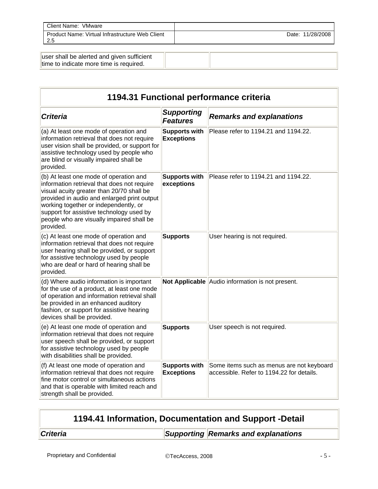| Client Name: VMware                                     |                  |
|---------------------------------------------------------|------------------|
| Product Name: Virtual Infrastructure Web Client<br>-2.5 | Date: 11/28/2008 |
|                                                         |                  |

| user shall be alerted and given sufficient |  |
|--------------------------------------------|--|
| time to indicate more time is required.    |  |

| 1194.31 Functional performance criteria                                                                                                                                                                                                                                                                                          |                                           |                                                                                        |
|----------------------------------------------------------------------------------------------------------------------------------------------------------------------------------------------------------------------------------------------------------------------------------------------------------------------------------|-------------------------------------------|----------------------------------------------------------------------------------------|
| <b>Criteria</b>                                                                                                                                                                                                                                                                                                                  | <b>Supporting</b><br><b>Features</b>      | <b>Remarks and explanations</b>                                                        |
| (a) At least one mode of operation and<br>information retrieval that does not require<br>user vision shall be provided, or support for<br>assistive technology used by people who<br>are blind or visually impaired shall be<br>provided.                                                                                        | <b>Supports with</b><br><b>Exceptions</b> | Please refer to 1194.21 and 1194.22.                                                   |
| (b) At least one mode of operation and<br>information retrieval that does not require<br>visual acuity greater than 20/70 shall be<br>provided in audio and enlarged print output<br>working together or independently, or<br>support for assistive technology used by<br>people who are visually impaired shall be<br>provided. | <b>Supports with</b><br>exceptions        | Please refer to 1194.21 and 1194.22.                                                   |
| (c) At least one mode of operation and<br>information retrieval that does not require<br>user hearing shall be provided, or support<br>for assistive technology used by people<br>who are deaf or hard of hearing shall be<br>provided.                                                                                          | <b>Supports</b>                           | User hearing is not required.                                                          |
| (d) Where audio information is important<br>for the use of a product, at least one mode<br>of operation and information retrieval shall<br>be provided in an enhanced auditory<br>fashion, or support for assistive hearing<br>devices shall be provided.                                                                        |                                           | Not Applicable Audio information is not present.                                       |
| (e) At least one mode of operation and<br>information retrieval that does not require<br>user speech shall be provided, or support<br>for assistive technology used by people<br>with disabilities shall be provided.                                                                                                            | <b>Supports</b>                           | User speech is not required.                                                           |
| (f) At least one mode of operation and<br>information retrieval that does not require<br>fine motor control or simultaneous actions<br>and that is operable with limited reach and<br>strength shall be provided.                                                                                                                | <b>Supports with</b><br><b>Exceptions</b> | Some items such as menus are not keyboard<br>accessible. Refer to 1194.22 for details. |

| 1194.41 Information, Documentation and Support -Detail |  |
|--------------------------------------------------------|--|
|                                                        |  |

*Criteria**Supporting Remarks and explanations*